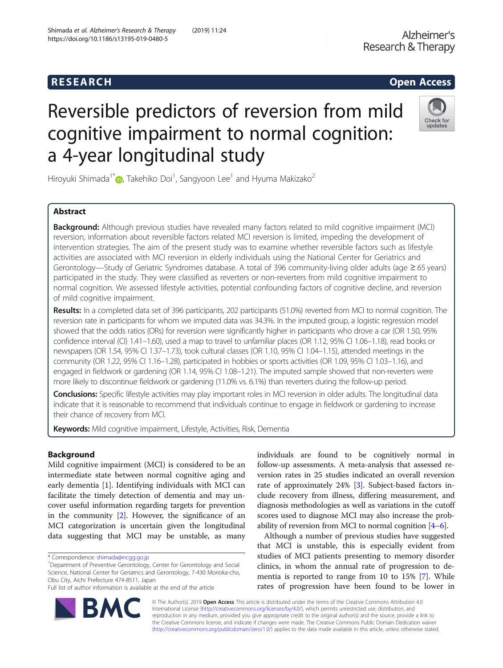# Reversible predictors of reversion from mild cognitive impairment to normal cognition: a 4-year longitudinal study



Hiroyuki Shimada $^{1^\ast}$ . Takehiko Doi $^1$ , Sangyoon Lee $^1$  and Hyuma Makizako $^2$ 

## Abstract

Background: Although previous studies have revealed many factors related to mild cognitive impairment (MCI) reversion, information about reversible factors related MCI reversion is limited, impeding the development of intervention strategies. The aim of the present study was to examine whether reversible factors such as lifestyle activities are associated with MCI reversion in elderly individuals using the National Center for Geriatrics and Gerontology—Study of Geriatric Syndromes database. A total of 396 community-living older adults (age ≥ 65 years) participated in the study. They were classified as reverters or non-reverters from mild cognitive impairment to normal cognition. We assessed lifestyle activities, potential confounding factors of cognitive decline, and reversion of mild cognitive impairment.

Results: In a completed data set of 396 participants, 202 participants (51.0%) reverted from MCI to normal cognition. The reversion rate in participants for whom we imputed data was 34.3%. In the imputed group, a logistic regression model showed that the odds ratios (ORs) for reversion were significantly higher in participants who drove a car (OR 1.50, 95% confidence interval (CI) 1.41–1.60), used a map to travel to unfamiliar places (OR 1.12, 95% CI 1.06–1.18), read books or newspapers (OR 1.54, 95% CI 1.37–1.73), took cultural classes (OR 1.10, 95% CI 1.04–1.15), attended meetings in the community (OR 1.22, 95% CI 1.16–1.28), participated in hobbies or sports activities (OR 1.09, 95% CI 1.03–1.16), and engaged in fieldwork or gardening (OR 1.14, 95% CI 1.08–1.21). The imputed sample showed that non-reverters were more likely to discontinue fieldwork or gardening (11.0% vs. 6.1%) than reverters during the follow-up period.

Conclusions: Specific lifestyle activities may play important roles in MCI reversion in older adults. The longitudinal data indicate that it is reasonable to recommend that individuals continue to engage in fieldwork or gardening to increase their chance of recovery from MCI.

**Keywords:** Mild cognitive impairment, Lifestyle, Activities, Risk, Dementia

## Background

Mild cognitive impairment (MCI) is considered to be an intermediate state between normal cognitive aging and early dementia [[1\]](#page-7-0). Identifying individuals with MCI can facilitate the timely detection of dementia and may uncover useful information regarding targets for prevention in the community [\[2](#page-7-0)]. However, the significance of an MCI categorization is uncertain given the longitudinal data suggesting that MCI may be unstable, as many

<sup>1</sup>Department of Preventive Gerontology, Center for Gerontology and Social Science, National Center for Geriatrics and Gerontology, 7-430 Morioka-cho, Obu City, Aichi Prefecture 474-8511, Japan

individuals are found to be cognitively normal in follow-up assessments. A meta-analysis that assessed reversion rates in 25 studies indicated an overall reversion rate of approximately 24% [\[3\]](#page-7-0). Subject-based factors include recovery from illness, differing measurement, and diagnosis methodologies as well as variations in the cutoff scores used to diagnose MCI may also increase the probability of reversion from MCI to normal cognition [\[4](#page-7-0)–[6\]](#page-8-0).

Although a number of previous studies have suggested that MCI is unstable, this is especially evident from studies of MCI patients presenting to memory disorder clinics, in whom the annual rate of progression to dementia is reported to range from 10 to 15% [[7](#page-8-0)]. While rates of progression have been found to be lower in



© The Author(s). 2019 Open Access This article is distributed under the terms of the Creative Commons Attribution 4.0 International License [\(http://creativecommons.org/licenses/by/4.0/](http://creativecommons.org/licenses/by/4.0/)), which permits unrestricted use, distribution, and reproduction in any medium, provided you give appropriate credit to the original author(s) and the source, provide a link to the Creative Commons license, and indicate if changes were made. The Creative Commons Public Domain Dedication waiver [\(http://creativecommons.org/publicdomain/zero/1.0/](http://creativecommons.org/publicdomain/zero/1.0/)) applies to the data made available in this article, unless otherwise stated.

<sup>\*</sup> Correspondence: [shimada@ncgg.go.jp](mailto:shimada@ncgg.go.jp) <sup>1</sup>

Full list of author information is available at the end of the article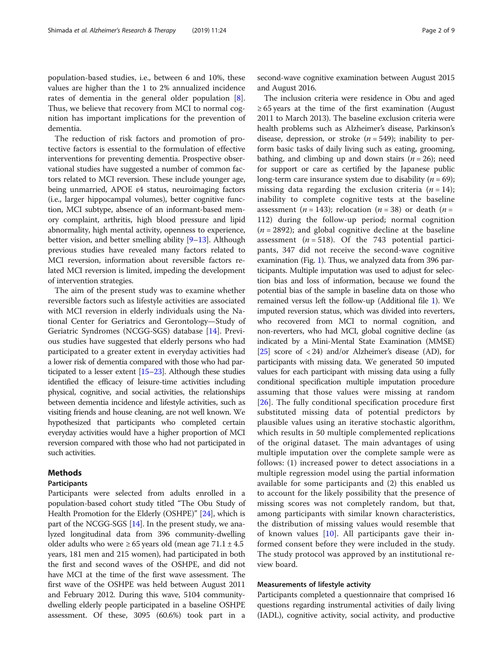population-based studies, i.e., between 6 and 10%, these values are higher than the 1 to 2% annualized incidence rates of dementia in the general older population [\[8](#page-8-0)]. Thus, we believe that recovery from MCI to normal cognition has important implications for the prevention of dementia.

The reduction of risk factors and promotion of protective factors is essential to the formulation of effective interventions for preventing dementia. Prospective observational studies have suggested a number of common factors related to MCI reversion. These include younger age, being unmarried, APOE ε4 status, neuroimaging factors (i.e., larger hippocampal volumes), better cognitive function, MCI subtype, absence of an informant-based memory complaint, arthritis, high blood pressure and lipid abnormality, high mental activity, openness to experience, better vision, and better smelling ability [\[9](#page-8-0)–[13](#page-8-0)]. Although previous studies have revealed many factors related to MCI reversion, information about reversible factors related MCI reversion is limited, impeding the development of intervention strategies.

The aim of the present study was to examine whether reversible factors such as lifestyle activities are associated with MCI reversion in elderly individuals using the National Center for Geriatrics and Gerontology—Study of Geriatric Syndromes (NCGG-SGS) database [\[14](#page-8-0)]. Previous studies have suggested that elderly persons who had participated to a greater extent in everyday activities had a lower risk of dementia compared with those who had participated to a lesser extent  $[15–23]$  $[15–23]$  $[15–23]$ . Although these studies identified the efficacy of leisure-time activities including physical, cognitive, and social activities, the relationships between dementia incidence and lifestyle activities, such as visiting friends and house cleaning, are not well known. We hypothesized that participants who completed certain everyday activities would have a higher proportion of MCI reversion compared with those who had not participated in such activities.

## Methods

## Participants

Participants were selected from adults enrolled in a population-based cohort study titled "The Obu Study of Health Promotion for the Elderly (OSHPE)" [[24](#page-8-0)], which is part of the NCGG-SGS [\[14\]](#page-8-0). In the present study, we analyzed longitudinal data from 396 community-dwelling older adults who were ≥ 65 years old (mean age  $71.1 \pm 4.5$ years, 181 men and 215 women), had participated in both the first and second waves of the OSHPE, and did not have MCI at the time of the first wave assessment. The first wave of the OSHPE was held between August 2011 and February 2012. During this wave, 5104 communitydwelling elderly people participated in a baseline OSHPE assessment. Of these, 3095 (60.6%) took part in a second-wave cognitive examination between August 2015 and August 2016.

The inclusion criteria were residence in Obu and aged  $\geq 65$  years at the time of the first examination (August 2011 to March 2013). The baseline exclusion criteria were health problems such as Alzheimer's disease, Parkinson's disease, depression, or stroke  $(n = 549)$ ; inability to perform basic tasks of daily living such as eating, grooming, bathing, and climbing up and down stairs  $(n = 26)$ ; need for support or care as certified by the Japanese public long-term care insurance system due to disability ( $n = 69$ ); missing data regarding the exclusion criteria  $(n = 14)$ ; inability to complete cognitive tests at the baseline assessment (*n* = 143); relocation (*n* = 38) or death (*n* = 112) during the follow-up period; normal cognition  $(n = 2892)$ ; and global cognitive decline at the baseline assessment ( $n = 518$ ). Of the 743 potential participants, 347 did not receive the second-wave cognitive examination (Fig. [1\)](#page-2-0). Thus, we analyzed data from 396 participants. Multiple imputation was used to adjust for selection bias and loss of information, because we found the potential bias of the sample in baseline data on those who remained versus left the follow-up (Additional file [1\)](#page-7-0). We imputed reversion status, which was divided into reverters, who recovered from MCI to normal cognition, and non-reverters, who had MCI, global cognitive decline (as indicated by a Mini-Mental State Examination (MMSE) [[25](#page-8-0)] score of < 24) and/or Alzheimer's disease (AD), for participants with missing data. We generated 50 imputed values for each participant with missing data using a fully conditional specification multiple imputation procedure assuming that those values were missing at random [[26\]](#page-8-0). The fully conditional specification procedure first substituted missing data of potential predictors by plausible values using an iterative stochastic algorithm, which results in 50 multiple complemented replications of the original dataset. The main advantages of using multiple imputation over the complete sample were as follows: (1) increased power to detect associations in a multiple regression model using the partial information available for some participants and (2) this enabled us to account for the likely possibility that the presence of missing scores was not completely random, but that, among participants with similar known characteristics, the distribution of missing values would resemble that of known values  $[10]$  $[10]$ . All participants gave their informed consent before they were included in the study. The study protocol was approved by an institutional review board.

#### Measurements of lifestyle activity

Participants completed a questionnaire that comprised 16 questions regarding instrumental activities of daily living (IADL), cognitive activity, social activity, and productive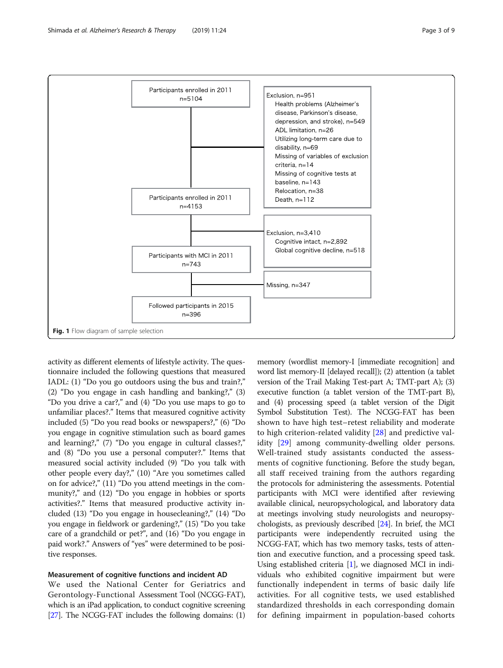<span id="page-2-0"></span>

activity as different elements of lifestyle activity. The questionnaire included the following questions that measured IADL: (1) "Do you go outdoors using the bus and train?," (2) "Do you engage in cash handling and banking?," (3) "Do you drive a car?," and (4) "Do you use maps to go to unfamiliar places?." Items that measured cognitive activity included (5) "Do you read books or newspapers?," (6) "Do you engage in cognitive stimulation such as board games and learning?," (7) "Do you engage in cultural classes?," and (8) "Do you use a personal computer?." Items that measured social activity included (9) "Do you talk with other people every day?," (10) "Are you sometimes called on for advice?," (11) "Do you attend meetings in the community?," and (12) "Do you engage in hobbies or sports activities?." Items that measured productive activity included (13) "Do you engage in housecleaning?," (14) "Do you engage in fieldwork or gardening?," (15) "Do you take care of a grandchild or pet?", and (16) "Do you engage in paid work?." Answers of "yes" were determined to be positive responses.

## Measurement of cognitive functions and incident AD

We used the National Center for Geriatrics and Gerontology-Functional Assessment Tool (NCGG-FAT), which is an iPad application, to conduct cognitive screening [[27](#page-8-0)]. The NCGG-FAT includes the following domains: (1)

memory (wordlist memory-I [immediate recognition] and word list memory-II [delayed recall]); (2) attention (a tablet version of the Trail Making Test-part A; TMT-part A); (3) executive function (a tablet version of the TMT-part B), and (4) processing speed (a tablet version of the Digit Symbol Substitution Test). The NCGG-FAT has been shown to have high test–retest reliability and moderate to high criterion-related validity [[28\]](#page-8-0) and predictive validity [\[29](#page-8-0)] among community-dwelling older persons. Well-trained study assistants conducted the assessments of cognitive functioning. Before the study began, all staff received training from the authors regarding the protocols for administering the assessments. Potential participants with MCI were identified after reviewing available clinical, neuropsychological, and laboratory data at meetings involving study neurologists and neuropsychologists, as previously described [\[24\]](#page-8-0). In brief, the MCI participants were independently recruited using the NCGG-FAT, which has two memory tasks, tests of attention and executive function, and a processing speed task. Using established criteria [[1\]](#page-7-0), we diagnosed MCI in individuals who exhibited cognitive impairment but were functionally independent in terms of basic daily life activities. For all cognitive tests, we used established standardized thresholds in each corresponding domain for defining impairment in population-based cohorts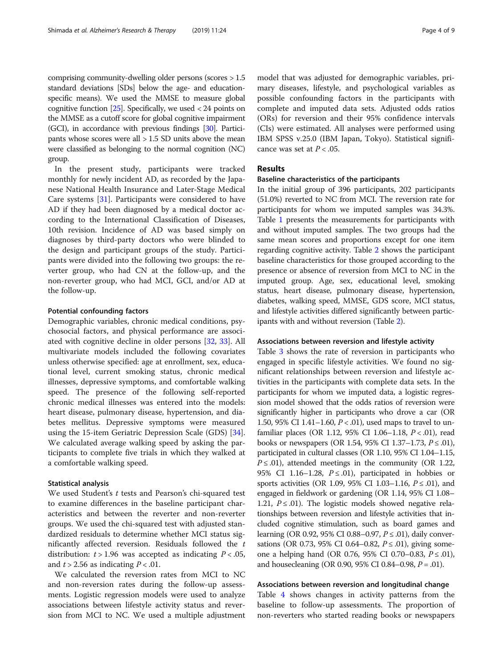comprising community-dwelling older persons (scores > 1.5 standard deviations [SDs] below the age- and educationspecific means). We used the MMSE to measure global cognitive function  $[25]$ . Specifically, we used  $\langle 24 \rangle$  points on the MMSE as a cutoff score for global cognitive impairment (GCI), in accordance with previous findings [\[30\]](#page-8-0). Participants whose scores were all > 1.5 SD units above the mean were classified as belonging to the normal cognition (NC) group.

In the present study, participants were tracked monthly for newly incident AD, as recorded by the Japanese National Health Insurance and Later-Stage Medical Care systems [[31\]](#page-8-0). Participants were considered to have AD if they had been diagnosed by a medical doctor according to the International Classification of Diseases, 10th revision. Incidence of AD was based simply on diagnoses by third-party doctors who were blinded to the design and participant groups of the study. Participants were divided into the following two groups: the reverter group, who had CN at the follow-up, and the non-reverter group, who had MCI, GCI, and/or AD at the follow-up.

#### Potential confounding factors

Demographic variables, chronic medical conditions, psychosocial factors, and physical performance are associated with cognitive decline in older persons [[32](#page-8-0), [33\]](#page-8-0). All multivariate models included the following covariates unless otherwise specified: age at enrollment, sex, educational level, current smoking status, chronic medical illnesses, depressive symptoms, and comfortable walking speed. The presence of the following self-reported chronic medical illnesses was entered into the models: heart disease, pulmonary disease, hypertension, and diabetes mellitus. Depressive symptoms were measured using the 15-item Geriatric Depression Scale (GDS) [\[34](#page-8-0)]. We calculated average walking speed by asking the participants to complete five trials in which they walked at a comfortable walking speed.

### Statistical analysis

We used Student's t tests and Pearson's chi-squared test to examine differences in the baseline participant characteristics and between the reverter and non-reverter groups. We used the chi-squared test with adjusted standardized residuals to determine whether MCI status significantly affected reversion. Residuals followed the  $t$ distribution:  $t > 1.96$  was accepted as indicating  $P < .05$ , and  $t > 2.56$  as indicating  $P < .01$ .

We calculated the reversion rates from MCI to NC and non-reversion rates during the follow-up assessments. Logistic regression models were used to analyze associations between lifestyle activity status and reversion from MCI to NC. We used a multiple adjustment model that was adjusted for demographic variables, primary diseases, lifestyle, and psychological variables as possible confounding factors in the participants with complete and imputed data sets. Adjusted odds ratios (ORs) for reversion and their 95% confidence intervals (CIs) were estimated. All analyses were performed using IBM SPSS v.25.0 (IBM Japan, Tokyo). Statistical significance was set at  $P < .05$ .

## Results

## Baseline characteristics of the participants

In the initial group of 396 participants, 202 participants (51.0%) reverted to NC from MCI. The reversion rate for participants for whom we imputed samples was 34.3%. Table [1](#page-4-0) presents the measurements for participants with and without imputed samples. The two groups had the same mean scores and proportions except for one item regarding cognitive activity. Table [2](#page-4-0) shows the participant baseline characteristics for those grouped according to the presence or absence of reversion from MCI to NC in the imputed group. Age, sex, educational level, smoking status, heart disease, pulmonary disease, hypertension, diabetes, walking speed, MMSE, GDS score, MCI status, and lifestyle activities differed significantly between participants with and without reversion (Table [2](#page-4-0)).

#### Associations between reversion and lifestyle activity

Table [3](#page-5-0) shows the rate of reversion in participants who engaged in specific lifestyle activities. We found no significant relationships between reversion and lifestyle activities in the participants with complete data sets. In the participants for whom we imputed data, a logistic regression model showed that the odds ratios of reversion were significantly higher in participants who drove a car (OR 1.50, 95% CI 1.41–1.60,  $P < .01$ ), used maps to travel to unfamiliar places (OR 1.12, 95% CI 1.06-1.18, P < .01), read books or newspapers (OR 1.54, 95% CI 1.37−1.73,  $P \le 0.01$ ), participated in cultural classes (OR 1.10, 95% CI 1.04–1.15,  $P \leq .01$ ), attended meetings in the community (OR 1.22, 95% CI 1.16–1.28,  $P \le 0.01$ ), participated in hobbies or sports activities (OR 1.09, 95% CI 1.03–1.16,  $P \le 0.01$ ), and engaged in fieldwork or gardening (OR 1.14, 95% CI 1.08– 1.21,  $P \le 0.01$ ). The logistic models showed negative relationships between reversion and lifestyle activities that included cognitive stimulation, such as board games and learning (OR 0.92, 95% CI 0.88−0.97,  $P \le$  .01), daily conversations (OR 0.73, 95% CI 0.64–0.82,  $P \le 0.01$ ), giving someone a helping hand (OR 0.76, 95% CI 0.70–0.83,  $P \le$  .01), and housecleaning (OR 0.90, 95% CI 0.84–0.98,  $P = .01$ ).

## Associations between reversion and longitudinal change

Table [4](#page-6-0) shows changes in activity patterns from the baseline to follow-up assessments. The proportion of non-reverters who started reading books or newspapers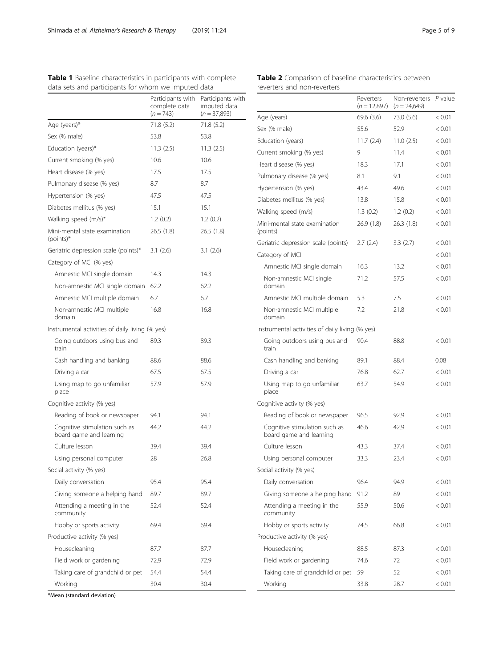<span id="page-4-0"></span>

|  |  | Table 1 Baseline characteristics in participants with complete |  |  |  |  |
|--|--|----------------------------------------------------------------|--|--|--|--|
|  |  | data sets and participants for whom we imputed data            |  |  |  |  |

## Table 2 Comparison of baseline characteristics between reverters and non-reverters

|                                                          | Participants with<br>complete data | Participants with<br>imputed data |                                                          | Reverters<br>$(n = 12,897)$ | Non-reverters P valu<br>$(n = 24,649)$ |        |
|----------------------------------------------------------|------------------------------------|-----------------------------------|----------------------------------------------------------|-----------------------------|----------------------------------------|--------|
|                                                          | $(n = 743)$                        | $(n = 37,893)$                    | Age (years)                                              | 69.6 (3.6)                  | 73.0 (5.6)                             | < 0.01 |
| Age (years)*                                             | 71.8(5.2)                          | 71.8(5.2)                         | Sex (% male)                                             | 55.6                        | 52.9                                   | < 0.01 |
| Sex (% male)                                             | 53.8                               | 53.8                              | Education (years)                                        | 11.7(2.4)                   | 11.0(2.5)                              | < 0.01 |
| Education (years)*                                       | 11.3(2.5)                          | 11.3(2.5)                         | Current smoking (% yes)                                  | 9                           | 11.4                                   | < 0.01 |
| Current smoking (% yes)                                  | 10.6                               | 10.6                              | Heart disease (% yes)                                    | 18.3                        | 17.1                                   | < 0.01 |
| Heart disease (% yes)                                    | 17.5                               | 17.5                              | Pulmonary disease (% yes)                                | 8.1                         | 9.1                                    | < 0.01 |
| Pulmonary disease (% yes)                                | 8.7                                | 8.7                               | Hypertension (% yes)                                     | 43.4                        | 49.6                                   | < 0.01 |
| Hypertension (% yes)                                     | 47.5                               | 47.5                              | Diabetes mellitus (% yes)                                | 13.8                        | 15.8                                   | < 0.01 |
| Diabetes mellitus (% yes)                                | 15.1                               | 15.1                              | Walking speed (m/s)                                      | 1.3(0.2)                    | 1.2(0.2)                               | < 0.01 |
| Walking speed (m/s)*                                     | 1.2(0.2)                           | 1.2(0.2)                          | Mini-mental state examination                            | 26.9(1.8)                   | 26.3(1.8)                              | < 0.01 |
| Mini-mental state examination<br>$(points)*$             | 26.5 (1.8)                         | 26.5(1.8)                         | (points)                                                 |                             |                                        | < 0.01 |
| Geriatric depression scale (points)*                     | 3.1(2.6)                           | 3.1(2.6)                          | Geriatric depression scale (points)                      | 2.7(2.4)                    | 3.3(2.7)                               |        |
| Category of MCI (% yes)                                  |                                    |                                   | Category of MCI                                          |                             |                                        | < 0.01 |
| Amnestic MCI single domain                               | 14.3                               | 14.3                              | Amnestic MCI single domain                               | 16.3                        | 13.2                                   | < 0.01 |
| Non-amnestic MCI single domain 62.2                      |                                    | 62.2                              | Non-amnestic MCI single<br>domain                        | 71.2                        | 57.5                                   | < 0.01 |
| Amnestic MCI multiple domain                             | 6.7                                | 6.7                               | Amnestic MCI multiple domain                             | 5.3                         | 7.5                                    | < 0.01 |
| Non-amnestic MCI multiple<br>domain                      | 16.8                               | 16.8                              | Non-amnestic MCI multiple<br>domain                      | 7.2                         | 21.8                                   | < 0.01 |
| Instrumental activities of daily living (% yes)          |                                    |                                   | Instrumental activities of daily living (% yes)          |                             |                                        |        |
| Going outdoors using bus and<br>train                    | 89.3                               | 89.3                              | Going outdoors using bus and<br>train                    | 90.4                        | 88.8                                   | < 0.01 |
| Cash handling and banking                                | 88.6                               | 88.6                              | Cash handling and banking                                | 89.1                        | 88.4                                   | 0.08   |
| Driving a car                                            | 67.5                               | 67.5                              | Driving a car                                            | 76.8                        | 62.7                                   | < 0.01 |
| Using map to go unfamiliar<br>place                      | 57.9                               | 57.9                              | Using map to go unfamiliar<br>place                      | 63.7                        | 54.9                                   | < 0.01 |
| Cognitive activity (% yes)                               |                                    |                                   | Cognitive activity (% yes)                               |                             |                                        |        |
| Reading of book or newspaper                             | 94.1                               | 94.1                              | Reading of book or newspaper                             | 96.5                        | 92.9                                   | < 0.01 |
| Cognitive stimulation such as<br>board game and learning | 44.2                               | 44.2                              | Cognitive stimulation such as<br>board game and learning | 46.6                        | 42.9                                   | < 0.01 |
| Culture lesson                                           | 39.4                               | 39.4                              | Culture lesson                                           | 43.3                        | 37.4                                   | < 0.01 |
| Using personal computer                                  | 28                                 | 26.8                              | Using personal computer                                  | 33.3                        | 23.4                                   | < 0.01 |
| Social activity (% yes)                                  |                                    |                                   | Social activity (% yes)                                  |                             |                                        |        |
| Daily conversation                                       | 95.4                               | 95.4                              | Daily conversation                                       | 96.4                        | 94.9                                   | < 0.01 |
| Giving someone a helping hand                            | 89.7                               | 89.7                              | Giving someone a helping hand                            | 91.2                        | 89                                     | < 0.01 |
| Attending a meeting in the<br>community                  | 52.4                               | 52.4                              | Attending a meeting in the<br>community                  | 55.9                        | 50.6                                   | < 0.01 |
| Hobby or sports activity                                 | 69.4                               | 69.4                              | Hobby or sports activity                                 | 74.5                        | 66.8                                   | < 0.01 |
| Productive activity (% yes)                              |                                    |                                   | Productive activity (% yes)                              |                             |                                        |        |
| Housecleaning                                            | 87.7                               | 87.7                              | Housecleaning                                            | 88.5                        | 87.3                                   | < 0.01 |
| Field work or gardening                                  | 72.9                               | 72.9                              | Field work or gardening                                  | 74.6                        | 72                                     | < 0.01 |
|                                                          |                                    |                                   |                                                          |                             |                                        |        |
| Taking care of grandchild or pet                         | 54.4                               | 54.4                              | Taking care of grandchild or pet 59                      |                             | 52                                     | < 0.01 |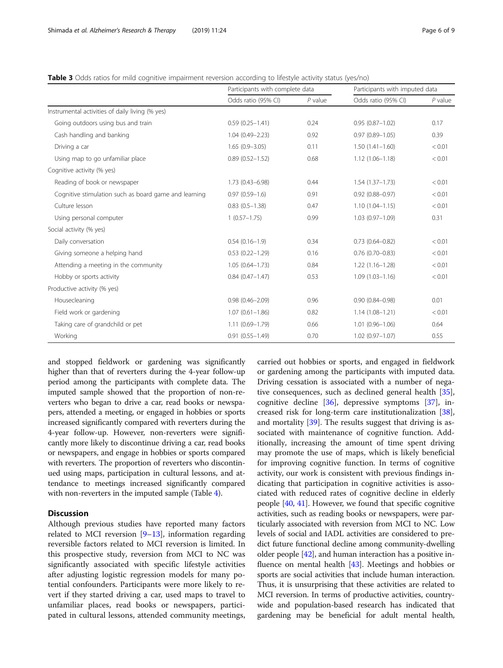<span id="page-5-0"></span>Table 3 Odds ratios for mild cognitive impairment reversion according to lifestyle activity status (yes/no)

|                                                       | Participants with complete data |           | Participants with imputed data |           |  |
|-------------------------------------------------------|---------------------------------|-----------|--------------------------------|-----------|--|
|                                                       | Odds ratio (95% CI)             | $P$ value | Odds ratio (95% CI)            | $P$ value |  |
| Instrumental activities of daily living (% yes)       |                                 |           |                                |           |  |
| Going outdoors using bus and train                    | $0.59(0.25 - 1.41)$             | 0.24      | $0.95(0.87 - 1.02)$            | 0.17      |  |
| Cash handling and banking                             | $1.04(0.49 - 2.23)$             | 0.92      | $0.97(0.89 - 1.05)$            | 0.39      |  |
| Driving a car                                         | $1.65(0.9 - 3.05)$              | 0.11      | $1.50(1.41 - 1.60)$            | < 0.01    |  |
| Using map to go unfamiliar place                      | $0.89(0.52 - 1.52)$             | 0.68      | $1.12(1.06 - 1.18)$            | < 0.01    |  |
| Cognitive activity (% yes)                            |                                 |           |                                |           |  |
| Reading of book or newspaper                          | $1.73(0.43 - 6.98)$             | 0.44      | $1.54(1.37-1.73)$              | < 0.01    |  |
| Cognitive stimulation such as board game and learning | $0.97(0.59 - 1.6)$              | 0.91      | $0.92(0.88 - 0.97)$            | < 0.01    |  |
| Culture lesson                                        | $0.83(0.5 - 1.38)$              | 0.47      | $1.10(1.04 - 1.15)$            | < 0.01    |  |
| Using personal computer                               | $1(0.57-1.75)$                  | 0.99      | $1.03(0.97 - 1.09)$            | 0.31      |  |
| Social activity (% yes)                               |                                 |           |                                |           |  |
| Daily conversation                                    | $0.54(0.16-1.9)$                | 0.34      | $0.73(0.64 - 0.82)$            | < 0.01    |  |
| Giving someone a helping hand                         | $0.53$ $(0.22 - 1.29)$          | 0.16      | $0.76(0.70 - 0.83)$            | < 0.01    |  |
| Attending a meeting in the community                  | $1.05(0.64 - 1.73)$             | 0.84      | $1.22(1.16 - 1.28)$            | < 0.01    |  |
| Hobby or sports activity                              | $0.84(0.47 - 1.47)$             | 0.53      | $1.09(1.03 - 1.16)$            | < 0.01    |  |
| Productive activity (% yes)                           |                                 |           |                                |           |  |
| Housecleaning                                         | $0.98(0.46 - 2.09)$             | 0.96      | $0.90(0.84 - 0.98)$            | 0.01      |  |
| Field work or gardening                               | $1.07(0.61 - 1.86)$             | 0.82      | $1.14(1.08 - 1.21)$            | < 0.01    |  |
| Taking care of grandchild or pet                      | $1.11(0.69 - 1.79)$             | 0.66      | $1.01(0.96 - 1.06)$            | 0.64      |  |
| Working                                               | $0.91(0.55 - 1.49)$             | 0.70      | $1.02$ (0.97-1.07)             | 0.55      |  |

and stopped fieldwork or gardening was significantly higher than that of reverters during the 4-year follow-up period among the participants with complete data. The imputed sample showed that the proportion of non-reverters who began to drive a car, read books or newspapers, attended a meeting, or engaged in hobbies or sports increased significantly compared with reverters during the 4-year follow-up. However, non-reverters were significantly more likely to discontinue driving a car, read books or newspapers, and engage in hobbies or sports compared with reverters. The proportion of reverters who discontinued using maps, participation in cultural lessons, and attendance to meetings increased significantly compared with non-reverters in the imputed sample (Table [4](#page-6-0)).

## **Discussion**

Although previous studies have reported many factors related to MCI reversion  $[9-13]$  $[9-13]$  $[9-13]$ , information regarding reversible factors related to MCI reversion is limited. In this prospective study, reversion from MCI to NC was significantly associated with specific lifestyle activities after adjusting logistic regression models for many potential confounders. Participants were more likely to revert if they started driving a car, used maps to travel to unfamiliar places, read books or newspapers, participated in cultural lessons, attended community meetings, carried out hobbies or sports, and engaged in fieldwork or gardening among the participants with imputed data. Driving cessation is associated with a number of negative consequences, such as declined general health [\[35](#page-8-0)], cognitive decline  $[36]$  $[36]$ , depressive symptoms  $[37]$  $[37]$ , increased risk for long-term care institutionalization [\[38](#page-8-0)], and mortality [\[39](#page-8-0)]. The results suggest that driving is associated with maintenance of cognitive function. Additionally, increasing the amount of time spent driving may promote the use of maps, which is likely beneficial for improving cognitive function. In terms of cognitive activity, our work is consistent with previous findings indicating that participation in cognitive activities is associated with reduced rates of cognitive decline in elderly people [\[40,](#page-8-0) [41\]](#page-8-0). However, we found that specific cognitive activities, such as reading books or newspapers, were particularly associated with reversion from MCI to NC. Low levels of social and IADL activities are considered to predict future functional decline among community-dwelling older people [[42](#page-8-0)], and human interaction has a positive influence on mental health  $[43]$  $[43]$ . Meetings and hobbies or sports are social activities that include human interaction. Thus, it is unsurprising that these activities are related to MCI reversion. In terms of productive activities, countrywide and population-based research has indicated that gardening may be beneficial for adult mental health,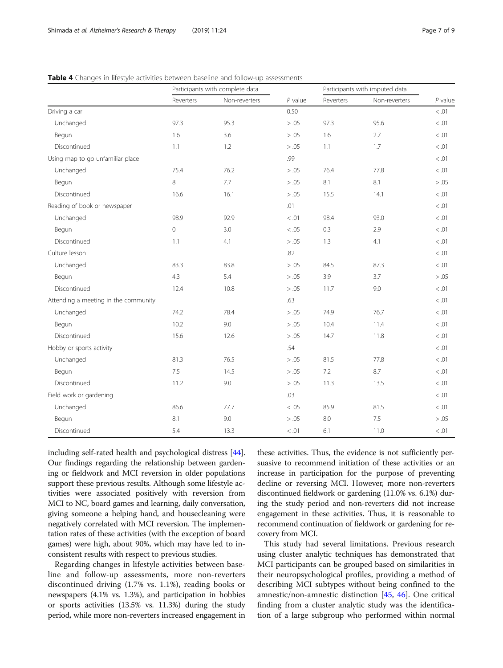## <span id="page-6-0"></span>Table 4 Changes in lifestyle activities between baseline and follow-up assessments

|                                      | Participants with complete data |               |           | Participants with imputed data |               |           |
|--------------------------------------|---------------------------------|---------------|-----------|--------------------------------|---------------|-----------|
|                                      | Reverters                       | Non-reverters | $P$ value | Reverters                      | Non-reverters | $P$ value |
| Driving a car                        |                                 |               | 0.50      |                                |               | < 0.01    |
| Unchanged                            | 97.3                            | 95.3          | > .05     | 97.3                           | 95.6          | < 0.01    |
| Begun                                | 1.6                             | 3.6           | > .05     | 1.6                            | 2.7           | < 0.01    |
| Discontinued                         | 1.1                             | 1.2           | > .05     | 1.1                            | 1.7           | < 0.01    |
| Using map to go unfamiliar place     |                                 |               | .99       |                                |               | < 0.01    |
| Unchanged                            | 75.4                            | 76.2          | > .05     | 76.4                           | 77.8          | < 0.01    |
| Begun                                | 8                               | 7.7           | > .05     | 8.1                            | 8.1           | > .05     |
| Discontinued                         | 16.6                            | 16.1          | > .05     | 15.5                           | 14.1          | $<.01$    |
| Reading of book or newspaper         |                                 |               | .01       |                                |               | < 0.01    |
| Unchanged                            | 98.9                            | 92.9          | $<.01$    | 98.4                           | 93.0          | < 0.01    |
| Begun                                | 0                               | 3.0           | < 0.05    | 0.3                            | 2.9           | < 0.01    |
| Discontinued                         | 1.1                             | 4.1           | > .05     | 1.3                            | 4.1           | < 0.01    |
| Culture lesson                       |                                 |               | .82       |                                |               | < 0.01    |
| Unchanged                            | 83.3                            | 83.8          | > .05     | 84.5                           | 87.3          | < 0.01    |
| Begun                                | 4.3                             | 5.4           | > .05     | 3.9                            | 3.7           | > .05     |
| Discontinued                         | 12.4                            | 10.8          | > .05     | 11.7                           | 9.0           | < 0.01    |
| Attending a meeting in the community |                                 |               | .63       |                                |               | < 0.01    |
| Unchanged                            | 74.2                            | 78.4          | > .05     | 74.9                           | 76.7          | < 0.01    |
| Begun                                | 10.2                            | 9.0           | > .05     | 10.4                           | 11.4          | < 0.01    |
| Discontinued                         | 15.6                            | 12.6          | > .05     | 14.7                           | 11.8          | < 0.01    |
| Hobby or sports activity             |                                 | .54           |           |                                | < 0.01        |           |
| Unchanged                            | 81.3                            | 76.5          | > .05     | 81.5                           | 77.8          | < 0.01    |
| Begun                                | 7.5                             | 14.5          | > .05     | 7.2                            | 8.7           | < 0.01    |
| Discontinued                         | 11.2                            | 9.0           | > .05     | 11.3                           | 13.5          | < 0.01    |
| Field work or gardening              |                                 | .03           |           |                                | < 0.01        |           |
| Unchanged                            | 86.6                            | 77.7          | < 0.05    | 85.9                           | 81.5          | < 0.01    |
| Begun                                | 8.1                             | 9.0           | > .05     | 8.0                            | 7.5           | > .05     |
| Discontinued                         | 5.4                             | 13.3          | < 0.01    | 6.1                            | 11.0          | < 0.01    |

including self-rated health and psychological distress [[44](#page-8-0)]. Our findings regarding the relationship between gardening or fieldwork and MCI reversion in older populations support these previous results. Although some lifestyle activities were associated positively with reversion from MCI to NC, board games and learning, daily conversation, giving someone a helping hand, and housecleaning were negatively correlated with MCI reversion. The implementation rates of these activities (with the exception of board games) were high, about 90%, which may have led to inconsistent results with respect to previous studies.

Regarding changes in lifestyle activities between baseline and follow-up assessments, more non-reverters discontinued driving (1.7% vs. 1.1%), reading books or newspapers (4.1% vs. 1.3%), and participation in hobbies or sports activities (13.5% vs. 11.3%) during the study period, while more non-reverters increased engagement in

these activities. Thus, the evidence is not sufficiently persuasive to recommend initiation of these activities or an increase in participation for the purpose of preventing decline or reversing MCI. However, more non-reverters discontinued fieldwork or gardening (11.0% vs. 6.1%) during the study period and non-reverters did not increase engagement in these activities. Thus, it is reasonable to recommend continuation of fieldwork or gardening for recovery from MCI.

This study had several limitations. Previous research using cluster analytic techniques has demonstrated that MCI participants can be grouped based on similarities in their neuropsychological profiles, providing a method of describing MCI subtypes without being confined to the amnestic/non-amnestic distinction [[45](#page-8-0), [46](#page-8-0)]. One critical finding from a cluster analytic study was the identification of a large subgroup who performed within normal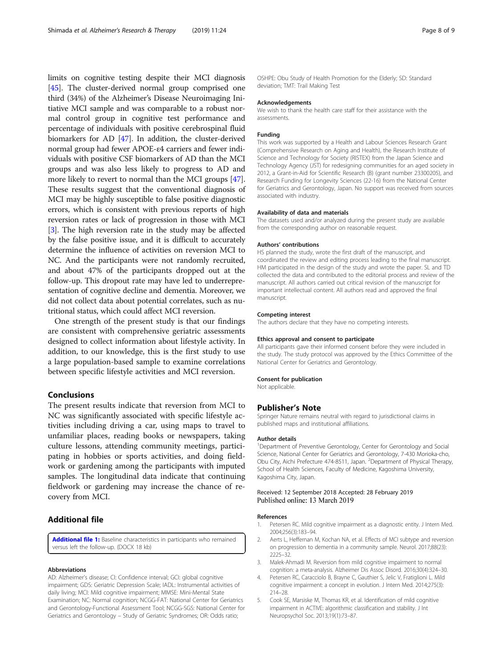<span id="page-7-0"></span>limits on cognitive testing despite their MCI diagnosis [[45](#page-8-0)]. The cluster-derived normal group comprised one third (34%) of the Alzheimer's Disease Neuroimaging Initiative MCI sample and was comparable to a robust normal control group in cognitive test performance and percentage of individuals with positive cerebrospinal fluid biomarkers for AD [\[47\]](#page-8-0). In addition, the cluster-derived normal group had fewer APOE-ε4 carriers and fewer individuals with positive CSF biomarkers of AD than the MCI groups and was also less likely to progress to AD and more likely to revert to normal than the MCI groups [[47](#page-8-0)]. These results suggest that the conventional diagnosis of MCI may be highly susceptible to false positive diagnostic errors, which is consistent with previous reports of high reversion rates or lack of progression in those with MCI [3]. The high reversion rate in the study may be affected by the false positive issue, and it is difficult to accurately determine the influence of activities on reversion MCI to NC. And the participants were not randomly recruited, and about 47% of the participants dropped out at the follow-up. This dropout rate may have led to underrepresentation of cognitive decline and dementia. Moreover, we did not collect data about potential correlates, such as nutritional status, which could affect MCI reversion.

One strength of the present study is that our findings are consistent with comprehensive geriatric assessments designed to collect information about lifestyle activity. In addition, to our knowledge, this is the first study to use a large population-based sample to examine correlations between specific lifestyle activities and MCI reversion.

## Conclusions

The present results indicate that reversion from MCI to NC was significantly associated with specific lifestyle activities including driving a car, using maps to travel to unfamiliar places, reading books or newspapers, taking culture lessons, attending community meetings, participating in hobbies or sports activities, and doing fieldwork or gardening among the participants with imputed samples. The longitudinal data indicate that continuing fieldwork or gardening may increase the chance of recovery from MCI.

## Additional file

[Additional file 1:](https://doi.org/10.1186/s13195-019-0480-5) Baseline characteristics in participants who remained versus left the follow-up. (DOCX 18 kb)

#### Abbreviations

AD: Alzheimer's disease; CI: Confidence interval; GCI: global cognitive impairment; GDS: Geriatric Depression Scale; IADL: Instrumental activities of daily living; MCI: Mild cognitive impairment; MMSE: Mini-Mental State Examination; NC: Normal cognition; NCGG-FAT: National Center for Geriatrics and Gerontology-Functional Assessment Tool; NCGG-SGS: National Center for Geriatrics and Gerontology – Study of Geriatric Syndromes; OR: Odds ratio;

OSHPE: Obu Study of Health Promotion for the Elderly; SD: Standard deviation; TMT: Trail Making Test

#### Acknowledgements

We wish to thank the health care staff for their assistance with the assessments.

#### Funding

This work was supported by a Health and Labour Sciences Research Grant (Comprehensive Research on Aging and Health), the Research Institute of Science and Technology for Society (RISTEX) from the Japan Science and Technology Agency (JST) for redesigning communities for an aged society in 2012, a Grant-in-Aid for Scientific Research (B) (grant number 23300205), and Research Funding for Longevity Sciences (22-16) from the National Center for Geriatrics and Gerontology, Japan. No support was received from sources associated with industry.

#### Availability of data and materials

The datasets used and/or analyzed during the present study are available from the corresponding author on reasonable request.

#### Authors' contributions

HS planned the study, wrote the first draft of the manuscript, and coordinated the review and editing process leading to the final manuscript. HM participated in the design of the study and wrote the paper. SL and TD collected the data and contributed to the editorial process and review of the manuscript. All authors carried out critical revision of the manuscript for important intellectual content. All authors read and approved the final manuscript.

#### Competing interest

The authors declare that they have no competing interests.

#### Ethics approval and consent to participate

All participants gave their informed consent before they were included in the study. The study protocol was approved by the Ethics Committee of the National Center for Geriatrics and Gerontology.

#### Consent for publication

Not applicable.

#### Publisher's Note

Springer Nature remains neutral with regard to jurisdictional claims in published maps and institutional affiliations.

#### Author details

<sup>1</sup>Department of Preventive Gerontology, Center for Gerontology and Social Science, National Center for Geriatrics and Gerontology, 7-430 Morioka-cho, Obu City, Aichi Prefecture 474-8511, Japan. <sup>2</sup>Department of Physical Therapy, School of Health Sciences, Faculty of Medicine, Kagoshima University, Kagoshima City, Japan.

## Received: 12 September 2018 Accepted: 28 February 2019 Published online: 13 March 2019

#### References

- 1. Petersen RC. Mild cognitive impairment as a diagnostic entity. J Intern Med. 2004;256(3):183–94.
- 2. Aerts L, Heffernan M, Kochan NA, et al. Effects of MCI subtype and reversion on progression to dementia in a community sample. Neurol. 2017;88(23): 2225–32.
- 3. Malek-Ahmadi M. Reversion from mild cognitive impairment to normal cognition: a meta-analysis. Alzheimer Dis Assoc Disord. 2016;30(4):324–30.
- 4. Petersen RC, Caracciolo B, Brayne C, Gauthier S, Jelic V, Fratiglioni L. Mild cognitive impairment: a concept in evolution. J Intern Med. 2014;275(3): 214–28.
- 5. Cook SE, Marsiske M, Thomas KR, et al. Identification of mild cognitive impairment in ACTIVE: algorithmic classification and stability. J Int Neuropsychol Soc. 2013;19(1):73–87.